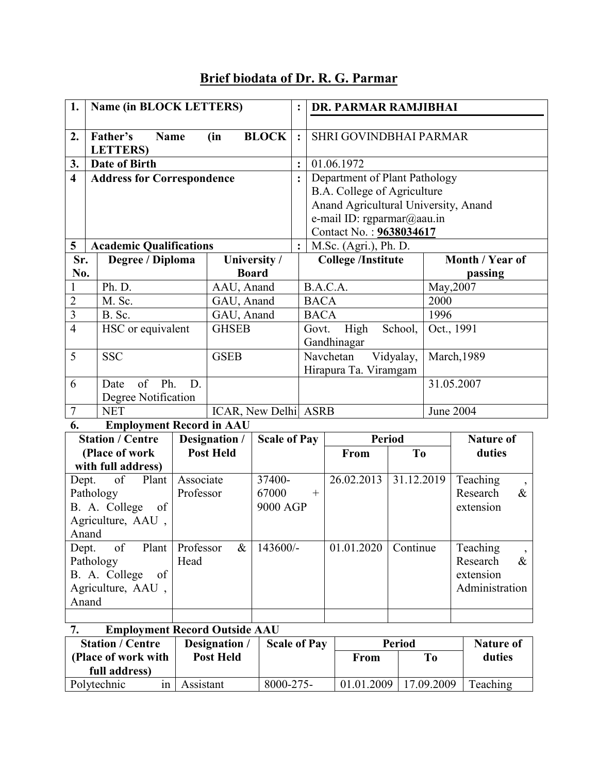## Brief biodata of Dr. R. G. Parmar

| 1.                                                                                           | Name (in BLOCK LETTERS)           |           |                                   | $\ddot{\cdot}$      | DR. PARMAR RAMJIBHAI        |                                             |                               |                  |                      |                                              |  |
|----------------------------------------------------------------------------------------------|-----------------------------------|-----------|-----------------------------------|---------------------|-----------------------------|---------------------------------------------|-------------------------------|------------------|----------------------|----------------------------------------------|--|
| 2.                                                                                           | Father's<br><b>Name</b>           |           |                                   | <b>BLOCK</b>        | $\ddot{\cdot}$              |                                             | SHRI GOVINDBHAI PARMAR        |                  |                      |                                              |  |
|                                                                                              | <b>LETTERS</b> )                  |           | (in                               |                     |                             |                                             |                               |                  |                      |                                              |  |
| 3.                                                                                           | <b>Date of Birth</b>              |           |                                   |                     | $\ddot{\cdot}$              |                                             | 01.06.1972                    |                  |                      |                                              |  |
| $\overline{\mathbf{4}}$                                                                      | <b>Address for Correspondence</b> |           |                                   |                     | $\ddot{\cdot}$              |                                             | Department of Plant Pathology |                  |                      |                                              |  |
|                                                                                              |                                   |           |                                   |                     | B.A. College of Agriculture |                                             |                               |                  |                      |                                              |  |
|                                                                                              |                                   |           |                                   |                     |                             | Anand Agricultural University, Anand        |                               |                  |                      |                                              |  |
|                                                                                              |                                   |           |                                   |                     |                             | e-mail ID: rgparmar@aau.in                  |                               |                  |                      |                                              |  |
|                                                                                              |                                   |           |                                   |                     |                             | Contact No.: 9638034617                     |                               |                  |                      |                                              |  |
| 5                                                                                            | <b>Academic Qualifications</b>    |           |                                   |                     | $\ddot{\cdot}$              | M.Sc. (Agri.), Ph. D.                       |                               |                  |                      |                                              |  |
| No.                                                                                          | Sr.<br>Degree / Diploma           |           | University /                      |                     |                             | <b>College</b> /Institute                   |                               | Month / Year of  |                      |                                              |  |
| $\mathbf{1}$                                                                                 | Ph. D.                            |           | <b>Board</b><br>AAU, Anand        |                     |                             | B.A.C.A.                                    |                               |                  | passing<br>May, 2007 |                                              |  |
| $\overline{2}$                                                                               | M. Sc.                            |           | GAU, Anand                        |                     |                             | <b>BACA</b>                                 |                               | 2000             |                      |                                              |  |
| $\overline{3}$                                                                               | B. Sc.                            |           | GAU, Anand                        |                     |                             | <b>BACA</b>                                 |                               | 1996             |                      |                                              |  |
| $\overline{4}$                                                                               | HSC or equivalent                 |           | <b>GHSEB</b>                      |                     |                             | High<br>Govt.<br>School,                    |                               |                  | Oct., 1991           |                                              |  |
|                                                                                              |                                   |           |                                   |                     |                             | Gandhinagar                                 |                               |                  |                      |                                              |  |
| 5                                                                                            | <b>SSC</b>                        |           | <b>GSEB</b>                       |                     |                             | $\overline{\text{N}}$ avchetan<br>Vidyalay, |                               | March, 1989      |                      |                                              |  |
|                                                                                              |                                   |           |                                   |                     |                             | Hirapura Ta. Viramgam                       |                               |                  |                      |                                              |  |
| 6                                                                                            | of<br>Ph.<br>D.<br>Date           |           |                                   |                     |                             |                                             | 31.05.2007                    |                  |                      |                                              |  |
|                                                                                              | Degree Notification               |           |                                   |                     |                             |                                             |                               |                  |                      |                                              |  |
| $\overline{7}$<br><b>NET</b><br>ICAR, New Delhi ASRB                                         |                                   |           |                                   |                     | June 2004                   |                                             |                               |                  |                      |                                              |  |
| 6.                                                                                           | <b>Employment Record in AAU</b>   |           |                                   |                     |                             |                                             |                               |                  |                      |                                              |  |
| <b>Station / Centre</b><br>Designation /                                                     |                                   |           |                                   | <b>Scale of Pay</b> |                             |                                             | <b>Period</b>                 |                  |                      | <b>Nature of</b>                             |  |
| (Place of work)<br>with full address)                                                        |                                   |           | <b>Post Held</b>                  |                     |                             |                                             | From                          | To               |                      | duties                                       |  |
|                                                                                              | of<br>Plant                       | Associate |                                   | 37400-              |                             |                                             | 26.02.2013                    | 31.12.2019       |                      | Teaching                                     |  |
| Dept.<br>Pathology                                                                           |                                   |           | Professor                         |                     | 67000<br>$^{+}$             |                                             |                               |                  |                      | $\overline{\phantom{a}}$<br>Research<br>$\&$ |  |
| B. A. College<br>of                                                                          |                                   |           |                                   | 9000 AGP            |                             |                                             |                               | extension        |                      |                                              |  |
| Agriculture, AAU,                                                                            |                                   |           |                                   |                     |                             |                                             |                               |                  |                      |                                              |  |
|                                                                                              | Anand                             |           |                                   |                     |                             |                                             |                               |                  |                      |                                              |  |
| of<br>Plant<br>Dept.                                                                         |                                   | Professor | $\&$                              | 143600/-            |                             |                                             | 01.01.2020                    | Continue         |                      | Teaching<br>$\cdot$                          |  |
| Pathology                                                                                    |                                   | Head      |                                   |                     |                             |                                             |                               |                  | Research<br>$\&$     |                                              |  |
| B. A. College<br>of                                                                          |                                   |           |                                   |                     |                             |                                             |                               |                  |                      | extension                                    |  |
| Agriculture, AAU,<br>Anand                                                                   |                                   |           |                                   |                     |                             |                                             |                               |                  |                      | Administration                               |  |
|                                                                                              |                                   |           |                                   |                     |                             |                                             |                               |                  |                      |                                              |  |
|                                                                                              |                                   |           |                                   |                     |                             |                                             |                               |                  |                      |                                              |  |
| <b>Employment Record Outside AAU</b><br>7.<br><b>Station / Centre</b><br><b>Scale of Pay</b> |                                   |           |                                   |                     |                             |                                             |                               | <b>Nature of</b> |                      |                                              |  |
| (Place of work with                                                                          |                                   |           | Designation /<br><b>Post Held</b> |                     |                             |                                             | <b>Period</b><br><b>From</b>  |                  | T <sub>0</sub>       | duties                                       |  |
|                                                                                              | full address)                     |           |                                   |                     |                             |                                             |                               |                  |                      |                                              |  |

Polytechnic in Assistant 8000-275- 01.01.2009 17.09.2009 Teaching